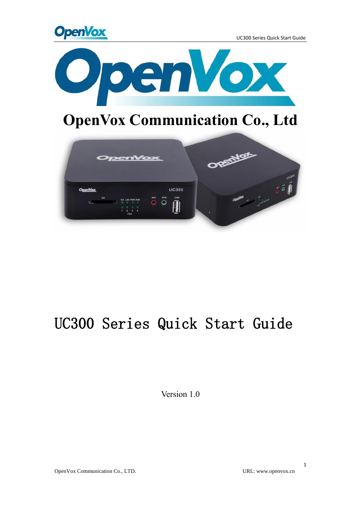



# **OpenVox Communication Co., Ltd**



# UC300 Series Quick Start Guide

Version 1.0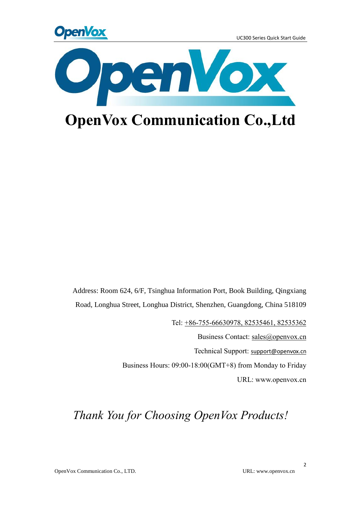



# **OpenVox Communication Co.,Ltd**

Address: Room 624, 6/F, Tsinghua Information Port, Book Building, Qingxiang Road, Longhua Street, Longhua District, Shenzhen, Guangdong, China 518109

Tel: +86-755-66630978, 82535461, 82535362

Business Contact: sales@openvox.cn

Technical Support: [support@openvox.cn](mailto:support@openvox.cn)

Business Hours: 09:00-18:00(GMT+8) from Monday to Friday

URL: www.openvox.cn

## *Thank You for Choosing OpenVox Products!*

2

OpenVox Communication Co., LTD. URL: www.openvox.cn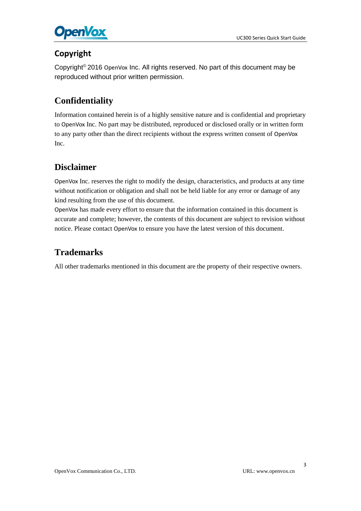

### **Copyright**

Copyright© 2016 OpenVox Inc. All rights reserved. No part of this document may be reproduced without prior written permission.

### **Confidentiality**

Information contained herein is of a highly sensitive nature and is confidential and proprietary to OpenVox Inc. No part may be distributed, reproduced or disclosed orally or in written form to any party other than the direct recipients without the express written consent of OpenVox Inc.

### **Disclaimer**

OpenVox Inc. reserves the right to modify the design, characteristics, and products at any time without notification or obligation and shall not be held liable for any error or damage of any kind resulting from the use of this document.

OpenVox has made every effort to ensure that the information contained in this document is accurate and complete; however, the contents of this document are subject to revision without notice. Please contact OpenVox to ensure you have the latest version of this document.

### **Trademarks**

All other trademarks mentioned in this document are the property of their respective owners.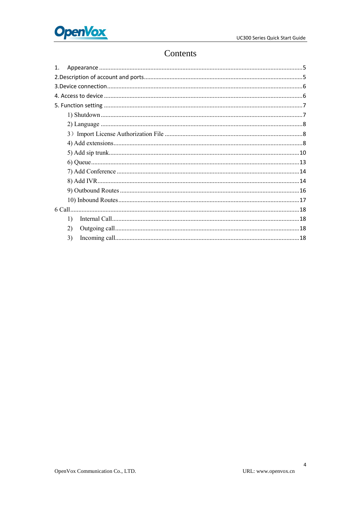

### Contents

| $\mathbf{1}$ . |  |
|----------------|--|
|                |  |
|                |  |
|                |  |
|                |  |
|                |  |
|                |  |
|                |  |
|                |  |
|                |  |
|                |  |
|                |  |
|                |  |
|                |  |
|                |  |
|                |  |
| 1)             |  |
| 2)             |  |
| 3)             |  |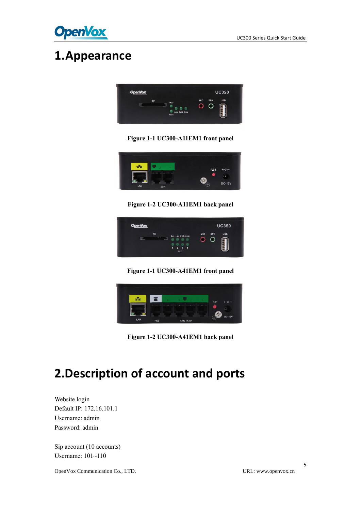

## <span id="page-4-0"></span>**1.Appearance**



**Figure 1-1 UC300-A11EM1 front panel**



**Figure 1-2 UC300-A11EM1 back panel**



**Figure 1-1 UC300-A41EM1 front panel**



**Figure 1-2 UC300-A41EM1 back panel**

# <span id="page-4-1"></span>**2.Description of account and ports**

Website login Default IP: 172.16.101.1 Username: admin Password: admin

Sip account (10 accounts) Username: 101~110

OpenVox Communication Co., LTD. URL: www.openvox.cn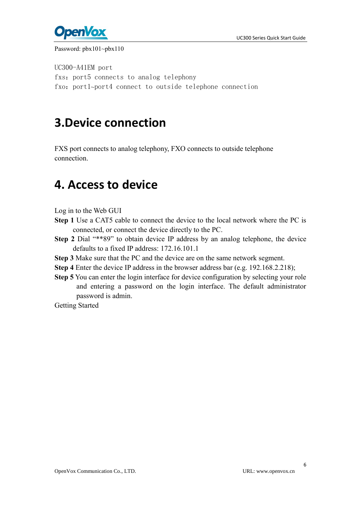



#### Password: pbx101~pbx110

UC300-A41EM port fxs: port5 connects to analog telephony fxo: port1~port4 connect to outside telephone connection

## <span id="page-5-0"></span>**3.Device connection**

FXS port connects to analog telephony, FXO connects to outside telephone connection.

## <span id="page-5-1"></span>**4. Access to device**

- Log in to the Web GUI
- **Step 1** Use a CAT5 cable to connect the device to the local network where the PC is connected, or connect the device directly to the PC.
- **Step 2** Dial "\*\*89" to obtain device IP address by an analog telephone, the device defaults to a fixed IP address: 172.16.101.1
- **Step 3** Make sure that the PC and the device are on the same network segment.
- **Step 4** Enter the device IP address in the browser address bar (e.g. 192.168.2.218);
- **Step 5** You can enter the login interface for device configuration by selecting your role and entering a password on the login interface. The default administrator password is admin.
- Getting Started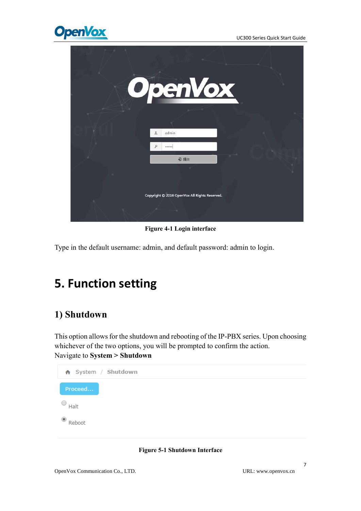

| OpenVox                                       |  |
|-----------------------------------------------|--|
| admin                                         |  |
| <br>日提交                                       |  |
|                                               |  |
| Copyright © 2016 OpenVox All Rights Reserved. |  |
|                                               |  |

**Figure 4-1 Login interface**

Type in the default username: admin, and default password: admin to login.

## <span id="page-6-0"></span>**5. Function setting**

### <span id="page-6-1"></span>**1) Shutdown**

This option allows for the shutdown and rebooting of the IP-PBX series. Upon choosing whichever of the two options, you will be prompted to confirm the action. Navigate to **System > Shutdown**



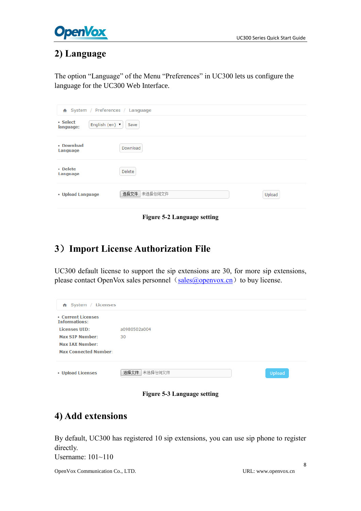

### <span id="page-7-0"></span>**2) Language**

The option "Language" of the Menu "Preferences" in UC300 lets us configure the language for the UC300 Web Interface.

| A System / Preferences / Language                          |                 |        |
|------------------------------------------------------------|-----------------|--------|
| • Select<br>English (en) $\blacktriangledown$<br>language: | Save            |        |
| • Download<br>Language                                     | Download        |        |
| • Delete<br>Language                                       | Delete          |        |
| • Upload Language                                          | 选择文件<br>未选择任何文件 | Upload |

**Figure 5-2 Language setting**

### <span id="page-7-1"></span>**3**)**Import License Authorization File**

UC300 default license to support the sip extensions are 30, for more sip extensions, please contact OpenVox sales personnel  $(sales@openvox.cn)$  $(sales@openvox.cn)$  $(sales@openvox.cn)$  to buy license.

| $\bigwedge$ System / Licenses              |                 |               |
|--------------------------------------------|-----------------|---------------|
| • Current Licenses<br><b>Informations:</b> |                 |               |
| <b>Licenses UID:</b>                       | a0980502a004    |               |
| <b>Max SIP Number:</b>                     | 30              |               |
| <b>Max TAX Number:</b>                     |                 |               |
| <b>Max Connected Number:</b>               |                 |               |
| • Upload Licenses                          | 选择文件<br>未选择任何文件 | <b>Upload</b> |

**Figure 5-3 Language setting**

### <span id="page-7-2"></span>**4) Add extensions**

By default, UC300 has registered 10 sip extensions, you can use sip phone to register directly. Username: 101~110

OpenVox Communication Co., LTD. URL: www.openvox.cn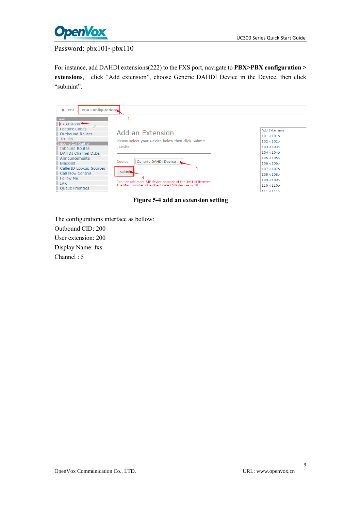

#### Password: pbx101~pbx110

For instance, add DAHDI extensions(222) to the FXS port, navigate to **PBX>PBX configuration > extensions**, click "Add extension", choose Generic DAHDI Device in the Device, then click "submint".

| <b>PBX Configuration</b><br><b>PBX</b><br>÷.         |                                                                                                                                                                                                                                   |                         |
|------------------------------------------------------|-----------------------------------------------------------------------------------------------------------------------------------------------------------------------------------------------------------------------------------|-------------------------|
| <b>Basic</b><br><b>Extensions</b>                    |                                                                                                                                                                                                                                   |                         |
| Feature Codes<br>Outbound Routes                     | Add an Extension                                                                                                                                                                                                                  | <b>Add Extension</b>    |
| <b>Trunks</b>                                        | Please select your Device below then click Submit                                                                                                                                                                                 | 101 < 101<br>102 < 102  |
| <b>Inbound Call Control</b><br><b>Inbound Routes</b> | - Device                                                                                                                                                                                                                          | 103 < 103               |
| <b>DAHDI Channel DIDs</b><br>Announcements           | 105 < 105<br>Generic DAHDi Device<br>Device<br>106 < 106<br>107 < 107<br>Submit.<br>108 < 108<br>109 < 109<br>Can not add more SIP device because of the limit of licenses.<br>The Max, number of authenticated SIP devices is 30 | 104 < 104               |
| <b>Blacklist</b><br>CallerID Lookup Sources          |                                                                                                                                                                                                                                   |                         |
| Call Flow Control                                    |                                                                                                                                                                                                                                   |                         |
| Follow Me<br><b>IVR</b>                              |                                                                                                                                                                                                                                   |                         |
| <b>Oueue Priorities</b>                              |                                                                                                                                                                                                                                   | 110 < 110<br>111 < 1115 |

**Figure 5-4 add an extension setting**

The configurations interface as bellow: Outbound CID: 200 User extension: 200 Display Name: fxs Channel : 5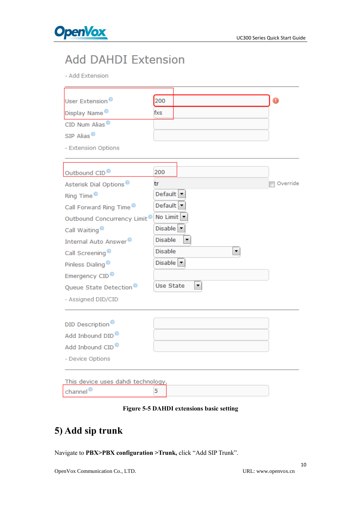

## **Add DAHDI Extension**

- Add Extension

| User Extension <sup>®</sup>             | 200                            | О        |
|-----------------------------------------|--------------------------------|----------|
|                                         |                                |          |
| Display Name <sup>®</sup>               | fxs                            |          |
| CID Num Alias <sup>®</sup>              |                                |          |
| SIP Alias <sup>®</sup>                  |                                |          |
| - Extension Options                     |                                |          |
|                                         |                                |          |
| Outbound CID <sup>®</sup>               | 200                            |          |
| Asterisk Dial Options <sup>®</sup>      | tr                             | Override |
| Ring Time <sup>®</sup>                  | Default $\blacktriangleright$  |          |
| Call Forward Ring Time <sup>®</sup>     | Default $\vert \bullet \vert$  |          |
| Outbound Concurrency Limit <sup>®</sup> | No Limit $\vert \bullet \vert$ |          |
| Call Waiting <sup>®</sup>               | Disable                        |          |
| Internal Auto Answer <sup>®</sup>       | <b>Disable</b>                 |          |
| Call Screening <sup>®</sup>             | <b>Disable</b><br>۰            |          |
| Pinless Dialing <sup>®</sup>            | Disable $\vert \cdot \vert$    |          |
| Emergency CID <sup>®</sup>              |                                |          |
| Queue State Detection <sup>®</sup>      | <b>Use State</b><br>▼          |          |
| - Assigned DID/CID                      |                                |          |
|                                         |                                |          |
| DID Description <sup>®</sup>            |                                |          |
| Add Inbound DID <sup>®</sup>            |                                |          |
| Add Inbound CID <sup>®</sup>            |                                |          |
| - Device Options                        |                                |          |
| This device uses dahdi technology.      |                                |          |
| channel <sup>®</sup>                    | 5                              |          |

#### **Figure 5-5 DAHDI extensions basic setting**

## <span id="page-9-0"></span>**5) Add sip trunk**

Navigate to **PBX>PBX configuration >Trunk,** click "Add SIP Trunk".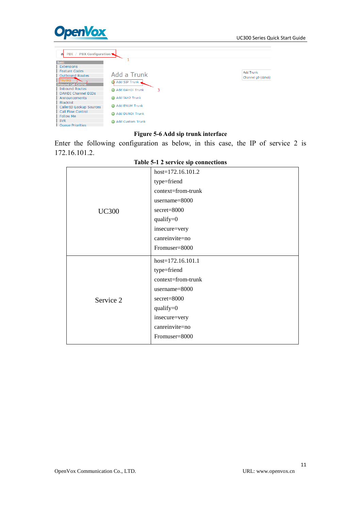

#### **Figure 5-6 Add sip trunk interface**

Enter the following configuration as below, in this case, the IP of service 2 is 172.16.101.2.

|              | host=172.16.101.2   |
|--------------|---------------------|
|              | type=friend         |
|              | context=from-trunk  |
|              | username=8000       |
| <b>UC300</b> | $secret = 8000$     |
|              | qualify=0           |
|              | insecure=very       |
|              | canreinvite=no      |
|              | Fromuser=8000       |
|              | $host=172.16.101.1$ |
|              | type=friend         |
|              | context=from-trunk  |
|              | username=8000       |
| Service 2    | secret=8000         |
|              | qualify= $0$        |
|              | insecure=very       |
|              | canreinvite=no      |
|              | Fromuser=8000       |

#### **Table 5-1 2 service sip connections**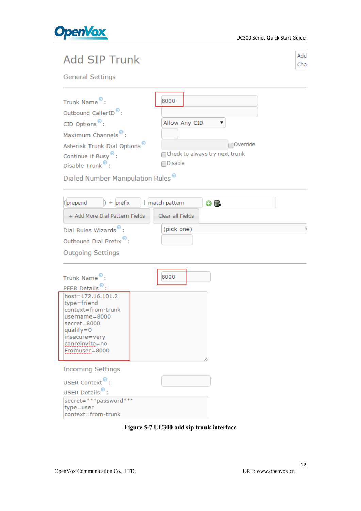

## **Add SIP Trunk**

Add Cha

**General Settings** 

| Trunk Name <sup>®</sup> :                         | 8000                            |
|---------------------------------------------------|---------------------------------|
| Outbound CallerID <sup>®</sup> :                  |                                 |
| CID Options <sup><math>\mathcal{D}</math></sup> : | Allow Any CID                   |
| Maximum Channels <sup>®</sup> :                   |                                 |
| Asterisk Trunk Dial Options <sup>®</sup>          | Override                        |
| Continue if Busy <sup>®</sup> :                   | ∩Check to always try next trunk |
| Disable Trunk <sup>®</sup> :                      | $\bigcap$ Disable               |

Dialed Number Manipulation Rules<sup>®</sup>

| (prepend<br>$+$ prefix                                                                                                                                             | match pattern<br>$\odot$ m |  |
|--------------------------------------------------------------------------------------------------------------------------------------------------------------------|----------------------------|--|
| + Add More Dial Pattern Fields                                                                                                                                     | Clear all Fields           |  |
| Dial Rules Wizards <sup>®</sup> :                                                                                                                                  | (pick one)                 |  |
| Outbound Dial Prefix <sup>9</sup> :                                                                                                                                |                            |  |
| <b>Outgoing Settings</b>                                                                                                                                           |                            |  |
| Trunk Name <sup>®</sup> :<br>PEER Details <sup>®</sup>                                                                                                             | 8000                       |  |
| host=172.16.101.2<br>type=friend<br>context=from-trunk<br>$usename = 8000$<br>$secret = 8000$<br>$quality = 0$<br>insecure=very<br>canreinvite=no<br>Fromuser=8000 |                            |  |
| <b>Incoming Settings</b>                                                                                                                                           |                            |  |
| USER Context <sup>®</sup> :                                                                                                                                        |                            |  |
| USER Details <sup>®</sup> :                                                                                                                                        |                            |  |
| secret=***password***<br>type=user<br>context=from-trunk                                                                                                           |                            |  |

**Figure 5-7 UC300 add sip trunk interface**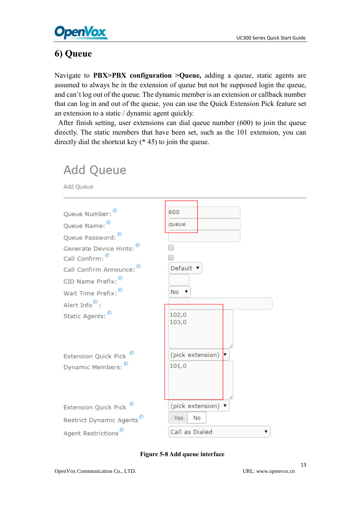

**Add Queue** 

### <span id="page-12-0"></span>**6) Queue**

Navigate to **PBX>PBX configuration >Queue,** adding a queue, static agents are assumed to always be in the extension of queue but not be supposed login the queue, and can't log out of the queue. The dynamic member is an extension or callback number that can log in and out of the queue, you can use the Quick Extension Pick feature set an extension to a static / dynamic agent quickly.

After finish setting, user extensions can dial queue number (600) to join the queue directly. The static members that have been set, such as the 101 extension, you can directly dial the shortcut key (\* 45) to join the queue.



#### **Figure 5-8 Add queue interface**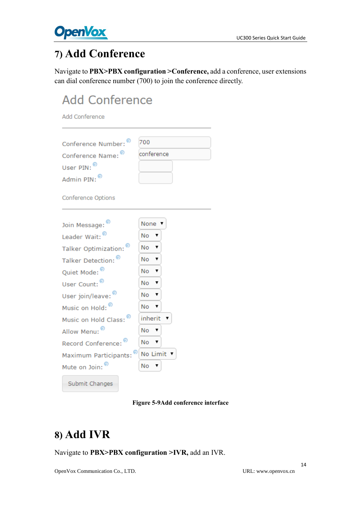

## <span id="page-13-0"></span>**7) Add Conference**

Navigate to **PBX>PBX configuration >Conference,** add a conference, user extensions can dial conference number (700) to join the conference directly.

# **Add Conference**

Add Conference

|                                    | 700                 |
|------------------------------------|---------------------|
| Conference Number:                 | conference          |
| Conference Name:                   |                     |
| User PIN:                          |                     |
| Admin PIN:                         |                     |
| <b>Conference Options</b>          |                     |
| Join Message:                      | None                |
| Leader Wait: <sup>®</sup>          | Nο<br>▼             |
| Talker Optimization: <sup>0</sup>  | N <sub>o</sub><br>v |
| Talker Detection:                  | No.<br>v            |
| Quiet Mode: <sup>19</sup>          | No.<br>7            |
| User Count:                        | No<br>7             |
| User join/leave:                   | <b>No</b><br>7      |
| Music on Hold:                     | No.<br>7            |
| Music on Hold Class:               | inherit<br>۷.       |
| Allow Menu:                        | No.<br>۷.           |
| Record Conference:                 | <b>No</b><br>7      |
| Maximum Participants: <sup>®</sup> | No Limit ▼          |
| Mute on Join:                      | No<br>▼             |
| Submit Changes                     |                     |

#### **Figure 5-9Add conference interface**

## <span id="page-13-1"></span>**8) Add IVR**

Navigate to **PBX>PBX configuration >IVR,** add an IVR.

14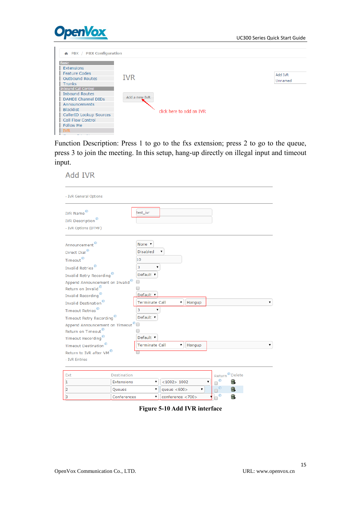



Function Description: Press 1 to go to the fxs extension; press 2 to go to the queue, press 3 to join the meeting. In this setup, hang-up directly on illegal input and timeout input.

**Add IVR** 

| - IVR General Options                       |                    |                                       |
|---------------------------------------------|--------------------|---------------------------------------|
| <b>IVR Name</b>                             |                    | test_ivr                              |
| <b>IVR</b> Description <sup>®</sup>         |                    |                                       |
| - IVR Options (DTMF)                        |                    |                                       |
| Announcement                                |                    | None v                                |
| Direct Dial <sup>®</sup>                    |                    | <b>Disabled</b>                       |
| Timeout <sup>®</sup>                        |                    | 10                                    |
| Invalid Retries <sup>®</sup>                |                    | 3                                     |
| Invalid Retry Recording                     |                    | Default ▼                             |
| Append Announcement on Invalid <sup>®</sup> |                    |                                       |
| Return on Invalid <sup>®</sup>              |                    |                                       |
| Invalid Recording <sup>®</sup>              |                    | Default ▼                             |
| Invalid Destination <sup>®</sup>            |                    | <b>Terminate Call</b><br>۷<br>Hangup  |
| Timeout Retries <sup>®</sup>                |                    | 3                                     |
| Timeout Retry Recording <sup>®</sup>        |                    | Default v                             |
| Append Announcement on Timeout <sup>9</sup> |                    |                                       |
| Return on Timeout <sup>®</sup>              |                    |                                       |
| Timeout Recording <sup>6</sup>              |                    | Default v                             |
| <b>Timeout Destination</b>                  |                    | <b>Terminate Call</b><br>۰.<br>Hangup |
| Return to IVR after VM                      |                    |                                       |
| - IVR Entries                               |                    |                                       |
|                                             |                    |                                       |
| Ext                                         | <b>Destination</b> | Return <sup>o</sup> Delete            |
| 1                                           | Extensions         | ဓ<br>$<$ 1002> 1002<br>m.             |
| 2                                           | Queues             | ၐ<br>命<br>queue $<600>$<br>۷          |
| 3                                           | Conferences        | ၐ<br>命<br>conference <700><br>۷       |

**Figure 5-10 Add IVR interface**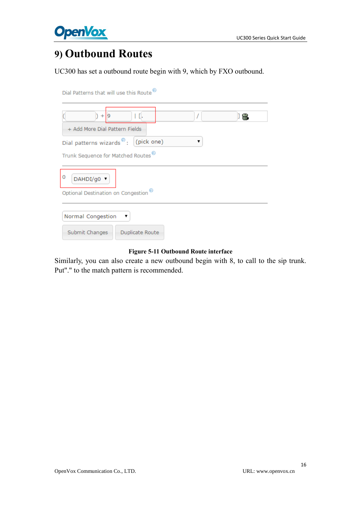

## <span id="page-15-0"></span>**9) Outbound Routes**

UC300 has set a outbound route begin with 9, which by FXO outbound.

| Dial Patterns that will use this Route                                                                                                                     |
|------------------------------------------------------------------------------------------------------------------------------------------------------------|
| $+$  9<br>۱T.<br>ÚШ<br>+ Add More Dial Pattern Fields<br>Dial patterns wizards <sup>®</sup> : (pick one)<br>Trunk Sequence for Matched Routes <sup>®</sup> |
|                                                                                                                                                            |
| 0<br>DAHDI/g0 ▼                                                                                                                                            |
| Optional Destination on Congestion <sup>®</sup>                                                                                                            |
| Normal Congestion<br>▼                                                                                                                                     |
| Submit Changes<br>Duplicate Route                                                                                                                          |

#### **Figure 5-11 Outbound Route interface**

Similarly, you can also create a new outbound begin with 8, to call to the sip trunk. Put"." to the match pattern is recommended.

16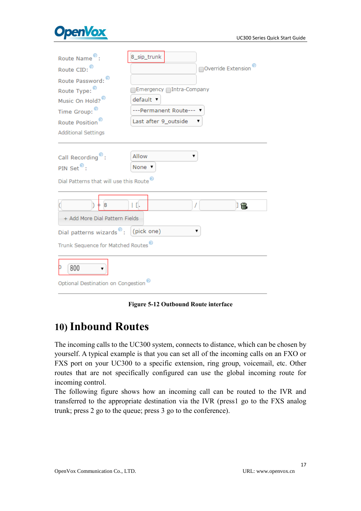

| Route Name <sup>®</sup> :                       | 8_sip_trunk                     |  |
|-------------------------------------------------|---------------------------------|--|
| Route CID: <sup>®</sup>                         | Override Extension <sup>®</sup> |  |
| Route Password:                                 |                                 |  |
| Route Type:                                     | Emergency 1ntra-Company         |  |
| Music On Hold? <sup>®</sup>                     | default v                       |  |
| Time Group: <sup>9</sup>                        | ---Permanent Route---           |  |
| Route Position <sup>®</sup>                     | Last after 9_outside            |  |
| <b>Additional Settings</b>                      |                                 |  |
|                                                 |                                 |  |
| Call Recording <sup>®</sup> :                   | Allow<br>▼                      |  |
| PIN Set <sup>o</sup> :                          | None v                          |  |
| Dial Patterns that will use this Route          |                                 |  |
|                                                 |                                 |  |
|                                                 |                                 |  |
| 8                                               | ۱ū.<br>T<br>] 命                 |  |
| + Add More Dial Pattern Fields                  |                                 |  |
| Dial patterns wizards <sup>®</sup> : (pick one) |                                 |  |
| Trunk Sequence for Matched Routes               |                                 |  |
|                                                 |                                 |  |
| 800                                             |                                 |  |
| Optional Destination on Congestion <sup>6</sup> |                                 |  |
|                                                 |                                 |  |

**Figure 5-12 Outbound Route interface**

## <span id="page-16-0"></span>**10) Inbound Routes**

The incoming calls to the UC300 system, connects to distance, which can be chosen by yourself. A typical example is that you can set all of the incoming calls on an FXO or FXS port on your UC300 to a specific extension, ring group, voicemail, etc. Other routes that are not specifically configured can use the global incoming route for incoming control.

The following figure shows how an incoming call can be routed to the IVR and transferred to the appropriate destination via the IVR (press1 go to the FXS analog trunk; press 2 go to the queue; press 3 go to the conference).